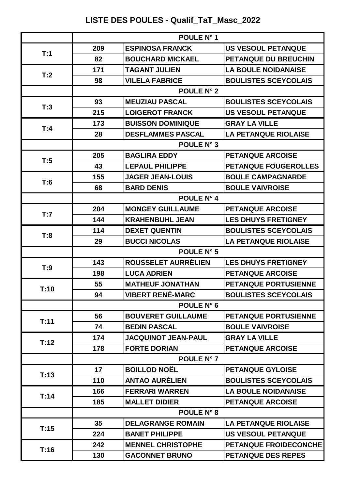## **LISTE DES POULES - Qualif\_TaT\_Masc\_2022**

|      | POULE N° 1 |                            |                              |
|------|------------|----------------------------|------------------------------|
|      | 209        | <b>ESPINOSA FRANCK</b>     | <b>US VESOUL PETANQUE</b>    |
| T:1  | 82         | <b>BOUCHARD MICKAEL</b>    | <b>PETANQUE DU BREUCHIN</b>  |
|      | 171        | <b>TAGANT JULIEN</b>       | <b>LA BOULE NOIDANAISE</b>   |
| T:2  | 98         | <b>VILELA FABRICE</b>      | <b>BOULISTES SCEYCOLAIS</b>  |
|      |            | <b>POULE N° 2</b>          |                              |
|      | 93         | <b>MEUZIAU PASCAL</b>      | <b>BOULISTES SCEYCOLAIS</b>  |
| T:3  | 215        | <b>LOIGEROT FRANCK</b>     | <b>US VESOUL PETANQUE</b>    |
|      | 173        | <b>BUISSON DOMINIQUE</b>   | <b>GRAY LA VILLE</b>         |
| T:4  | 28         | <b>DESFLAMMES PASCAL</b>   | <b>LA PETANQUE RIOLAISE</b>  |
|      |            | POULE N° 3                 |                              |
| T:5  | 205        | <b>BAGLIRA EDDY</b>        | <b>PETANQUE ARCOISE</b>      |
|      | 43         | <b>LEPAUL PHILIPPE</b>     | <b>PETANQUE FOUGEROLLES</b>  |
|      | 155        | <b>JAGER JEAN-LOUIS</b>    | <b>BOULE CAMPAGNARDE</b>     |
| T:6  | 68         | <b>BARD DENIS</b>          | <b>BOULE VAIVROISE</b>       |
|      |            | POULE N° 4                 |                              |
| T:7  | 204        | <b>MONGEY GUILLAUME</b>    | <b>PETANQUE ARCOISE</b>      |
|      | 144        | <b>KRAHENBUHL JEAN</b>     | <b>LES DHUYS FRETIGNEY</b>   |
| T:8  | 114        | <b>DEXET QUENTIN</b>       | <b>BOULISTES SCEYCOLAIS</b>  |
|      | 29         | <b>BUCCI NICOLAS</b>       | <b>LA PETANQUE RIOLAISE</b>  |
|      | POULE N° 5 |                            |                              |
| T:9  | 143        | ROUSSELET AURRÉLIEN        | <b>LES DHUYS FRETIGNEY</b>   |
|      | 198        | <b>LUCA ADRIEN</b>         | <b>PETANQUE ARCOISE</b>      |
| T:10 | 55         | <b>MATHEUF JONATHAN</b>    | <b>PETANQUE PORTUSIENNE</b>  |
|      | 94         | <b>VIBERT RENÉ-MARC</b>    | <b>BOULISTES SCEYCOLAIS</b>  |
|      |            | POULE N° 6                 |                              |
| T:11 | 56         | <b>BOUVERET GUILLAUME</b>  | PETANQUE PORTUSIENNE         |
|      | 74         | <b>BEDIN PASCAL</b>        | <b>BOULE VAIVROISE</b>       |
| T:12 | 174        | <b>JACQUINOT JEAN-PAUL</b> | <b>GRAY LA VILLE</b>         |
|      | 178        | <b>FORTE DORIAN</b>        | <b>PETANQUE ARCOISE</b>      |
|      |            | POULE N° 7                 |                              |
| T:13 | 17         | <b>BOILLOD NOËL</b>        | <b>PETANQUE GYLOISE</b>      |
|      | 110        | <b>ANTAO AURÉLIEN</b>      | <b>BOULISTES SCEYCOLAIS</b>  |
| T:14 | 166        | <b>FERRARI WARREN</b>      | <b>LA BOULE NOIDANAISE</b>   |
|      | 185        | <b>MALLET DIDIER</b>       | <b>PETANQUE ARCOISE</b>      |
|      |            | POULE N° 8                 |                              |
|      |            |                            | <b>LA PETANQUE RIOLAISE</b>  |
|      | $35\,$     | <b>DELAGRANGE ROMAIN</b>   |                              |
| T:15 | 224        | <b>BANET PHILIPPE</b>      | <b>US VESOUL PETANQUE</b>    |
| T:16 | 242        | <b>MENNEL CHRISTOPHE</b>   | <b>PETANQUE FROIDECONCHE</b> |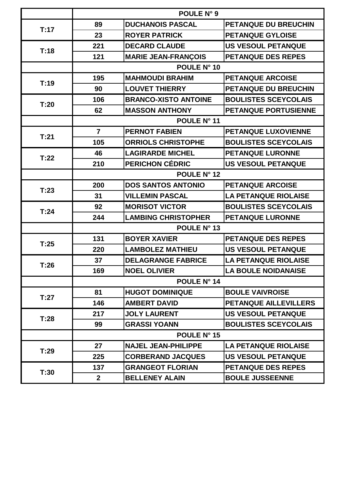|      | POULE N° 9     |                             |                              |
|------|----------------|-----------------------------|------------------------------|
| T:17 | 89             | <b>DUCHANOIS PASCAL</b>     | <b>PETANQUE DU BREUCHIN</b>  |
|      | 23             | <b>ROYER PATRICK</b>        | <b>PETANQUE GYLOISE</b>      |
|      | 221            | <b>DECARD CLAUDE</b>        | <b>US VESOUL PETANQUE</b>    |
| T:18 | 121            | <b>MARIE JEAN-FRANÇOIS</b>  | <b>PETANQUE DES REPES</b>    |
|      |                | POULE N° 10                 |                              |
| T:19 | 195            | <b>MAHMOUDI BRAHIM</b>      | <b>PETANQUE ARCOISE</b>      |
|      | 90             | <b>LOUVET THIERRY</b>       | PETANQUE DU BREUCHIN         |
| T:20 | 106            | <b>BRANCO-XISTO ANTOINE</b> | <b>BOULISTES SCEYCOLAIS</b>  |
|      | 62             | <b>MASSON ANTHONY</b>       | PETANQUE PORTUSIENNE         |
|      |                | POULE N° 11                 |                              |
| T:21 | $\overline{7}$ | <b>PERNOT FABIEN</b>        | PETANQUE LUXOVIENNE          |
|      | 105            | <b>ORRIOLS CHRISTOPHE</b>   | <b>BOULISTES SCEYCOLAIS</b>  |
| T:22 | 46             | <b>LAGIRARDE MICHEL</b>     | <b>PETANQUE LURONNE</b>      |
|      | 210            | <b>PERICHON CÉDRIC</b>      | <b>US VESOUL PETANQUE</b>    |
|      | POULE N° 12    |                             |                              |
| T:23 | 200            | <b>DOS SANTOS ANTONIO</b>   | <b>PETANQUE ARCOISE</b>      |
|      | 31             | <b>VILLEMIN PASCAL</b>      | <b>LA PETANQUE RIOLAISE</b>  |
| T:24 | 92             | <b>MORISOT VICTOR</b>       | <b>BOULISTES SCEYCOLAIS</b>  |
|      | 244            | <b>LAMBING CHRISTOPHER</b>  | <b>PETANQUE LURONNE</b>      |
|      | POULE N° 13    |                             |                              |
| T:25 | 131            | <b>BOYER XAVIER</b>         | <b>PETANQUE DES REPES</b>    |
|      | 220            | <b>LAMBOLEZ MATHIEU</b>     | <b>US VESOUL PETANQUE</b>    |
| T:26 | 37             | <b>DELAGRANGE FABRICE</b>   | <b>LA PETANQUE RIOLAISE</b>  |
|      | 169            | <b>NOEL OLIVIER</b>         | <b>LA BOULE NOIDANAISE</b>   |
|      | POULE N° 14    |                             |                              |
| T:27 | 81             | <b>HUGOT DOMINIQUE</b>      | <b>BOULE VAIVROISE</b>       |
|      | 146            | <b>AMBERT DAVID</b>         | <b>PETANQUE AILLEVILLERS</b> |
| T:28 | 217            | <b>JOLY LAURENT</b>         | <b>US VESOUL PETANQUE</b>    |
|      | 99             | <b>GRASSI YOANN</b>         | <b>BOULISTES SCEYCOLAIS</b>  |
|      | POULE N° 15    |                             |                              |
|      | 27             | <b>NAJEL JEAN-PHILIPPE</b>  | <b>LA PETANQUE RIOLAISE</b>  |
| T:29 | 225            | <b>CORBERAND JACQUES</b>    | <b>US VESOUL PETANQUE</b>    |
|      | 137            | <b>GRANGEOT FLORIAN</b>     | <b>PETANQUE DES REPES</b>    |
| T:30 | $\mathbf{2}$   | <b>BELLENEY ALAIN</b>       | <b>BOULE JUSSEENNE</b>       |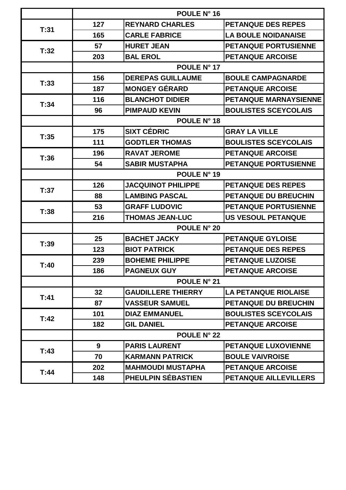|      | POULE N° 16        |                           |                              |
|------|--------------------|---------------------------|------------------------------|
| T:31 | 127                | <b>REYNARD CHARLES</b>    | <b>PETANQUE DES REPES</b>    |
|      | 165                | <b>CARLE FABRICE</b>      | <b>LA BOULE NOIDANAISE</b>   |
|      | 57                 | <b>HURET JEAN</b>         | <b>PETANQUE PORTUSIENNE</b>  |
| T:32 | 203                | <b>BAL EROL</b>           | <b>PETANQUE ARCOISE</b>      |
|      |                    | POULE N° 17               |                              |
| T:33 | 156                | <b>DEREPAS GUILLAUME</b>  | <b>BOULE CAMPAGNARDE</b>     |
|      | 187                | <b>MONGEY GÉRARD</b>      | <b>PETANQUE ARCOISE</b>      |
| T:34 | 116                | <b>BLANCHOT DIDIER</b>    | PETANQUE MARNAYSIENNE        |
|      | 96                 | <b>PIMPAUD KEVIN</b>      | <b>BOULISTES SCEYCOLAIS</b>  |
|      |                    | POULE N° 18               |                              |
| T:35 | 175                | <b>SIXT CÉDRIC</b>        | <b>GRAY LA VILLE</b>         |
|      | 111                | <b>GODTLER THOMAS</b>     | <b>BOULISTES SCEYCOLAIS</b>  |
| T:36 | 196                | <b>RAVAT JEROME</b>       | <b>PETANQUE ARCOISE</b>      |
|      | 54                 | <b>SABIR MUSTAPHA</b>     | <b>PETANQUE PORTUSIENNE</b>  |
|      | POULE N° 19        |                           |                              |
| T:37 | 126                | <b>JACQUINOT PHILIPPE</b> | <b>PETANQUE DES REPES</b>    |
|      | 88                 | <b>LAMBING PASCAL</b>     | <b>PETANQUE DU BREUCHIN</b>  |
| T:38 | 53                 | <b>GRAFF LUDOVIC</b>      | <b>PETANQUE PORTUSIENNE</b>  |
|      | 216                | <b>THOMAS JEAN-LUC</b>    | <b>US VESOUL PETANQUE</b>    |
|      | <b>POULE N° 20</b> |                           |                              |
| T:39 | 25                 | <b>BACHET JACKY</b>       | <b>PETANQUE GYLOISE</b>      |
|      | 123                | <b>BIOT PATRICK</b>       | <b>PETANQUE DES REPES</b>    |
| T:40 | 239                | <b>BOHEME PHILIPPE</b>    | <b>PETANQUE LUZOISE</b>      |
|      | 186                | <b>PAGNEUX GUY</b>        | <b>PETANQUE ARCOISE</b>      |
|      | POULE N° 21        |                           |                              |
| T:41 | 32 <sub>2</sub>    | <b>GAUDILLERE THIERRY</b> | <b>LA PETANQUE RIOLAISE</b>  |
|      | 87                 | <b>VASSEUR SAMUEL</b>     | PETANQUE DU BREUCHIN         |
| T:42 | 101                | <b>DIAZ EMMANUEL</b>      | <b>BOULISTES SCEYCOLAIS</b>  |
|      | 182                | <b>GIL DANIEL</b>         | <b>PETANQUE ARCOISE</b>      |
|      |                    | <b>POULE N° 22</b>        |                              |
| T:43 | 9                  | <b>PARIS LAURENT</b>      | <b>PETANQUE LUXOVIENNE</b>   |
|      | 70                 | <b>KARMANN PATRICK</b>    | <b>BOULE VAIVROISE</b>       |
|      | 202                | <b>MAHMOUDI MUSTAPHA</b>  | <b>PETANQUE ARCOISE</b>      |
| T:44 | 148                | PHEULPIN SÉBASTIEN        | <b>PETANQUE AILLEVILLERS</b> |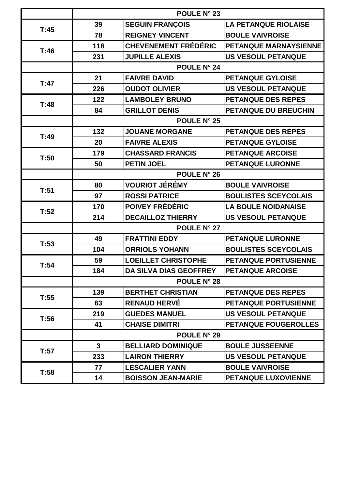|      | <b>POULE N° 23</b> |                               |                             |
|------|--------------------|-------------------------------|-----------------------------|
| T:45 | 39                 | <b>SEGUIN FRANÇOIS</b>        | <b>LA PETANQUE RIOLAISE</b> |
|      | 78                 | <b>REIGNEY VINCENT</b>        | <b>BOULE VAIVROISE</b>      |
|      | 118                | <b>CHEVENEMENT FRÉDÉRIC</b>   | PETANQUE MARNAYSIENNE       |
| T:46 | 231                | <b>JUPILLE ALEXIS</b>         | <b>US VESOUL PETANQUE</b>   |
|      |                    | <b>POULE N° 24</b>            |                             |
| T:47 | 21                 | <b>FAIVRE DAVID</b>           | <b>PETANQUE GYLOISE</b>     |
|      | 226                | <b>OUDOT OLIVIER</b>          | <b>US VESOUL PETANQUE</b>   |
| T:48 | 122                | <b>LAMBOLEY BRUNO</b>         | <b>PETANQUE DES REPES</b>   |
|      | 84                 | <b>GRILLOT DENIS</b>          | PETANQUE DU BREUCHIN        |
|      |                    | <b>POULE N° 25</b>            |                             |
| T:49 | 132                | <b>JOUANE MORGANE</b>         | <b>PETANQUE DES REPES</b>   |
|      | 20                 | <b>FAIVRE ALEXIS</b>          | <b>PETANQUE GYLOISE</b>     |
| T:50 | 179                | <b>CHASSARD FRANCIS</b>       | <b>PETANQUE ARCOISE</b>     |
|      | 50                 | <b>PETIN JOEL</b>             | <b>PETANQUE LURONNE</b>     |
|      | <b>POULE N° 26</b> |                               |                             |
| T:51 | 80                 | <b>VOURIOT JÉRÉMY</b>         | <b>BOULE VAIVROISE</b>      |
|      | 97                 | <b>ROSSI PATRICE</b>          | <b>BOULISTES SCEYCOLAIS</b> |
| T:52 | 170                | POIVEY FRÉDÉRIC               | <b>LA BOULE NOIDANAISE</b>  |
|      | 214                | <b>DECAILLOZ THIERRY</b>      | <b>US VESOUL PETANQUE</b>   |
|      |                    | POULE N° 27                   |                             |
| T:53 | 49                 | <b>FRATTINI EDDY</b>          | <b>PETANQUE LURONNE</b>     |
|      | 104                | <b>ORRIOLS YOHANN</b>         | <b>BOULISTES SCEYCOLAIS</b> |
| T:54 | 59                 | <b>LOEILLET CHRISTOPHE</b>    | <b>PETANQUE PORTUSIENNE</b> |
|      | 184                | <b>DA SILVA DIAS GEOFFREY</b> | <b>PETANQUE ARCOISE</b>     |
|      | <b>POULE N° 28</b> |                               |                             |
| T:55 | 139                | <b>BERTHET CHRISTIAN</b>      | <b>PETANQUE DES REPES</b>   |
|      | 63                 | <b>RENAUD HERVÉ</b>           | <b>PETANQUE PORTUSIENNE</b> |
| T:56 | 219                | <b>GUEDES MANUEL</b>          | <b>US VESOUL PETANQUE</b>   |
|      | 41                 | <b>CHAISE DIMITRI</b>         | <b>PETANQUE FOUGEROLLES</b> |
|      |                    | POULE N° 29                   |                             |
| T:57 | $\mathbf{3}$       | <b>BELLIARD DOMINIQUE</b>     | <b>BOULE JUSSEENNE</b>      |
|      | 233                | <b>LAIRON THIERRY</b>         | <b>US VESOUL PETANQUE</b>   |
|      | 77                 | <b>LESCALIER YANN</b>         | <b>BOULE VAIVROISE</b>      |
| T:58 | 14                 | <b>BOISSON JEAN-MARIE</b>     | PETANQUE LUXOVIENNE         |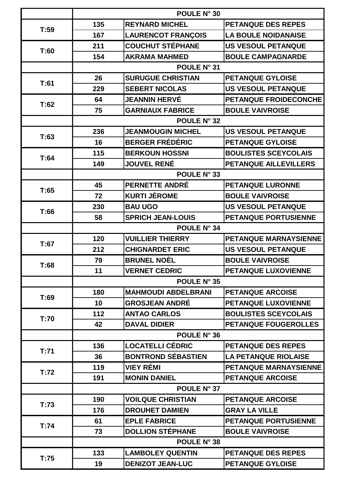|      | POULE N° 30 |                            |                              |
|------|-------------|----------------------------|------------------------------|
| T:59 | 135         | <b>REYNARD MICHEL</b>      | <b>PETANQUE DES REPES</b>    |
|      | 167         | <b>LAURENCOT FRANÇOIS</b>  | <b>LA BOULE NOIDANAISE</b>   |
|      | 211         | <b>COUCHUT STÉPHANE</b>    | <b>US VESOUL PETANQUE</b>    |
| T:60 | 154         | <b>AKRAMA MAHMED</b>       | <b>BOULE CAMPAGNARDE</b>     |
|      |             | POULE N° 31                |                              |
|      | 26          | <b>SURUGUE CHRISTIAN</b>   | <b>PETANQUE GYLOISE</b>      |
| T:61 | 229         | <b>SEBERT NICOLAS</b>      | <b>US VESOUL PETANQUE</b>    |
|      | 64          | <b>JEANNIN HERVÉ</b>       | PETANQUE FROIDECONCHE        |
| T:62 | 75          | <b>GARNIAUX FABRICE</b>    | <b>BOULE VAIVROISE</b>       |
|      |             | POULE N° 32                |                              |
|      | 236         | <b>JEANMOUGIN MICHEL</b>   | <b>US VESOUL PETANQUE</b>    |
| T:63 | 16          | <b>BERGER FRÉDÉRIC</b>     | PETANQUE GYLOISE             |
| T:64 | 115         | <b>BERKOUN HOSSNI</b>      | <b>BOULISTES SCEYCOLAIS</b>  |
|      | 149         | <b>JOUVEL RENÉ</b>         | PETANQUE AILLEVILLERS        |
|      |             | POULE N° 33                |                              |
| T:65 | 45          | <b>PERNETTE ANDRÉ</b>      | <b>PETANQUE LURONNE</b>      |
|      | 72          | <b>KURTI JÉROME</b>        | <b>BOULE VAIVROISE</b>       |
| T:66 | 230         | <b>BAU UGO</b>             | US VESOUL PETANQUE           |
|      | 58          | <b>SPRICH JEAN-LOUIS</b>   | <b>PETANQUE PORTUSIENNE</b>  |
|      |             | <b>POULE N° 34</b>         |                              |
| T:67 | 120         | <b>VUILLIER THIERRY</b>    | PETANQUE MARNAYSIENNE        |
|      | 212         | <b>CHIGNARDET ERIC</b>     | <b>US VESOUL PETANQUE</b>    |
| T:68 | 79          | <b>BRUNEL NOËL</b>         | <b>BOULE VAIVROISE</b>       |
|      | 11          | <b>VERNET CEDRIC</b>       | <b>PETANQUE LUXOVIENNE</b>   |
|      |             | POULE N° 35                |                              |
| T:69 | 180         | <b>MAHMOUDI ABDELBRANI</b> | <b>PETANQUE ARCOISE</b>      |
|      | 10          | <b>GROSJEAN ANDRÉ</b>      | PETANQUE LUXOVIENNE          |
| T:70 | 112         | <b>ANTAO CARLOS</b>        | <b>BOULISTES SCEYCOLAIS</b>  |
|      | 42          | <b>DAVAL DIDIER</b>        | <b>PETANQUE FOUGEROLLES</b>  |
|      |             | POULE N° 36                |                              |
| T:71 | 136         | <b>LOCATELLI CÉDRIC</b>    | <b>PETANQUE DES REPES</b>    |
|      | 36          | <b>BONTROND SÉBASTIEN</b>  | <b>LA PETANQUE RIOLAISE</b>  |
| T:72 | 119         | <b>VIEY RÉMI</b>           | <b>PETANQUE MARNAYSIENNE</b> |
|      | 191         | <b>MONIN DANIEL</b>        | <b>PETANQUE ARCOISE</b>      |
|      |             | POULE N° 37                |                              |
| T:73 | 190         | <b>VOILQUE CHRISTIAN</b>   | <b>PETANQUE ARCOISE</b>      |
|      | 176         | <b>DROUHET DAMIEN</b>      | <b>GRAY LA VILLE</b>         |
| T:74 | 61          | <b>EPLE FABRICE</b>        | <b>PETANQUE PORTUSIENNE</b>  |
|      | 73          | <b>DOLLION STÉPHANE</b>    | <b>BOULE VAIVROISE</b>       |
|      |             | <b>POULE N° 38</b>         |                              |
| T:75 | 133         | <b>LAMBOLEY QUENTIN</b>    | <b>PETANQUE DES REPES</b>    |
|      | 19          | <b>DENIZOT JEAN-LUC</b>    | <b>PETANQUE GYLOISE</b>      |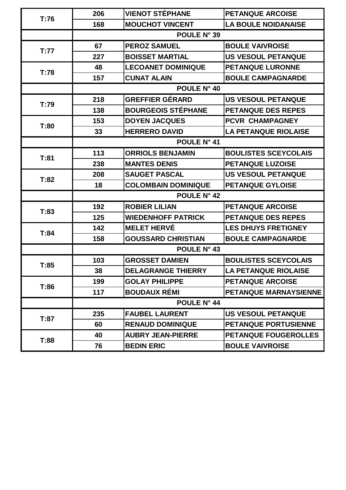| T:76 | 206                | <b>VIENOT STÉPHANE</b>     | <b>PETANQUE ARCOISE</b>     |
|------|--------------------|----------------------------|-----------------------------|
|      | 168                | <b>MOUCHOT VINCENT</b>     | <b>LA BOULE NOIDANAISE</b>  |
|      | POULE N° 39        |                            |                             |
| T:77 | 67                 | <b>PEROZ SAMUEL</b>        | <b>BOULE VAIVROISE</b>      |
|      | 227                | <b>BOISSET MARTIAL</b>     | <b>US VESOUL PETANQUE</b>   |
| T:78 | 48                 | <b>LECOANET DOMINIQUE</b>  | <b>PETANQUE LURONNE</b>     |
|      | 157                | <b>CUNAT ALAIN</b>         | <b>BOULE CAMPAGNARDE</b>    |
|      |                    | POULE N° 40                |                             |
| T:79 | 218                | <b>GREFFIER GÉRARD</b>     | <b>US VESOUL PETANQUE</b>   |
|      | 138                | <b>BOURGEOIS STÉPHANE</b>  | <b>PETANQUE DES REPES</b>   |
| T:80 | 153                | <b>DOYEN JACQUES</b>       | PCVR CHAMPAGNEY             |
|      | 33                 | <b>HERRERO DAVID</b>       | <b>LA PETANQUE RIOLAISE</b> |
|      | POULE N° 41        |                            |                             |
| T:81 | 113                | <b>ORRIOLS BENJAMIN</b>    | <b>BOULISTES SCEYCOLAIS</b> |
|      | 238                | <b>MANTES DENIS</b>        | <b>PETANQUE LUZOISE</b>     |
| T:82 | 208                | <b>SAUGET PASCAL</b>       | <b>US VESOUL PETANQUE</b>   |
|      | 18                 | <b>COLOMBAIN DOMINIQUE</b> | <b>PETANQUE GYLOISE</b>     |
|      | <b>POULE N° 42</b> |                            |                             |
|      | 192                | <b>ROBIER LILIAN</b>       | <b>PETANQUE ARCOISE</b>     |
| T:83 | 125                | <b>WIEDENHOFF PATRICK</b>  | <b>PETANQUE DES REPES</b>   |
| T:84 | 142                | <b>MELET HERVÉ</b>         | <b>LES DHUYS FRETIGNEY</b>  |
|      | 158                | <b>GOUSSARD CHRISTIAN</b>  | <b>BOULE CAMPAGNARDE</b>    |
|      | <b>POULE N° 43</b> |                            |                             |
|      | 103                | <b>GROSSET DAMIEN</b>      | <b>BOULISTES SCEYCOLAIS</b> |
| T:85 | 38                 | <b>DELAGRANGE THIERRY</b>  | <b>LA PETANQUE RIOLAISE</b> |
| T:86 | 199                | <b>GOLAY PHILIPPE</b>      | <b>PETANQUE ARCOISE</b>     |
|      | 117                | <b>BOUDAUX RÉMI</b>        | PETANQUE MARNAYSIENNE       |
|      | POULE N° 44        |                            |                             |
|      | 235                | <b>FAUBEL LAURENT</b>      | <b>US VESOUL PETANQUE</b>   |
| T:87 | 60                 | <b>RENAUD DOMINIQUE</b>    | <b>PETANQUE PORTUSIENNE</b> |
|      | 40                 | <b>AUBRY JEAN-PIERRE</b>   | <b>PETANQUE FOUGEROLLES</b> |
| T:88 | 76                 | <b>BEDIN ERIC</b>          | <b>BOULE VAIVROISE</b>      |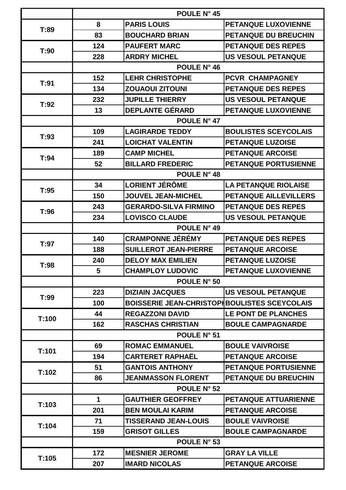|       | POULE N° 45        |                                                      |                              |
|-------|--------------------|------------------------------------------------------|------------------------------|
| T:89  | 8                  | <b>PARIS LOUIS</b>                                   | <b>PETANQUE LUXOVIENNE</b>   |
|       | 83                 | <b>BOUCHARD BRIAN</b>                                | PETANQUE DU BREUCHIN         |
|       | 124                | <b>PAUFERT MARC</b>                                  | <b>PETANQUE DES REPES</b>    |
| T:90  | 228                | <b>ARDRY MICHEL</b>                                  | <b>US VESOUL PETANQUE</b>    |
|       |                    | POULE N° 46                                          |                              |
|       | 152                | <b>LEHR CHRISTOPHE</b>                               | <b>PCVR CHAMPAGNEY</b>       |
| T:91  | 134                | <b>ZOUAOUI ZITOUNI</b>                               | <b>PETANQUE DES REPES</b>    |
|       | 232                | <b>JUPILLE THIERRY</b>                               | <b>US VESOUL PETANQUE</b>    |
| T:92  | 13                 | <b>DEPLANTE GÉRARD</b>                               | PETANQUE LUXOVIENNE          |
|       |                    | POULE N° 47                                          |                              |
| T:93  | 109                | <b>LAGIRARDE TEDDY</b>                               | <b>BOULISTES SCEYCOLAIS</b>  |
|       | 241                | <b>LOICHAT VALENTIN</b>                              | <b>PETANQUE LUZOISE</b>      |
| T:94  | 189                | <b>CAMP MICHEL</b>                                   | <b>PETANQUE ARCOISE</b>      |
|       | 52                 | <b>BILLARD FREDERIC</b>                              | <b>PETANQUE PORTUSIENNE</b>  |
|       |                    | <b>POULE N° 48</b>                                   |                              |
| T:95  | 34                 | <b>LORIENT JÉRÔME</b>                                | <b>LA PETANQUE RIOLAISE</b>  |
|       | 150                | <b>JOUVEL JEAN-MICHEL</b>                            | <b>PETANQUE AILLEVILLERS</b> |
| T:96  | 243                | <b>GERARDO-SILVA FIRMINO</b>                         | <b>PETANQUE DES REPES</b>    |
|       | 234                | <b>LOVISCO CLAUDE</b>                                | <b>US VESOUL PETANQUE</b>    |
|       | POULE N° 49        |                                                      |                              |
| T:97  | 140                | <b>CRAMPONNE JÉRÉMY</b>                              | <b>PETANQUE DES REPES</b>    |
|       | 188                | <b>SUILLEROT JEAN-PIERRE</b>                         | <b>PETANQUE ARCOISE</b>      |
| T:98  | 240                | <b>DELOY MAX EMILIEN</b>                             | <b>PETANQUE LUZOISE</b>      |
|       | 5                  | <b>CHAMPLOY LUDOVIC</b>                              | <b>PETANQUE LUXOVIENNE</b>   |
|       |                    | POULE N° 50                                          |                              |
| T:99  | 223                | <b>DIZIAIN JACQUES</b>                               | <b>US VESOUL PETANQUE</b>    |
|       | 100                | <b>BOISSERIE JEAN-CHRISTOPI BOULISTES SCEYCOLAIS</b> |                              |
| T:100 | 44                 | <b>REGAZZONI DAVID</b>                               | LE PONT DE PLANCHES          |
|       | 162                | <b>RASCHAS CHRISTIAN</b>                             | <b>BOULE CAMPAGNARDE</b>     |
|       | POULE N° 51        |                                                      |                              |
| T:101 | 69                 | <b>ROMAC EMMANUEL</b>                                | <b>BOULE VAIVROISE</b>       |
|       | 194                | <b>CARTERET RAPHAËL</b>                              | <b>PETANQUE ARCOISE</b>      |
| T:102 | 51                 | <b>GANTOIS ANTHONY</b>                               | <b>PETANQUE PORTUSIENNE</b>  |
|       | 86                 | <b>JEANMASSON FLORENT</b>                            | <b>PETANQUE DU BREUCHIN</b>  |
|       | <b>POULE N° 52</b> |                                                      |                              |
| T:103 | $\mathbf{1}$       | <b>GAUTHIER GEOFFREY</b>                             | <b>PETANQUE ATTUARIENNE</b>  |
|       | 201                | <b>BEN MOULAI KARIM</b>                              | <b>PETANQUE ARCOISE</b>      |
| T:104 | 71                 | <b>TISSERAND JEAN-LOUIS</b>                          | <b>BOULE VAIVROISE</b>       |
|       | 159                | <b>GRISOT GILLES</b>                                 | <b>BOULE CAMPAGNARDE</b>     |
|       |                    | <b>POULE N° 53</b>                                   |                              |
| T:105 | 172                | <b>MESNIER JEROME</b>                                | <b>GRAY LA VILLE</b>         |
|       | 207                | <b>IMARD NICOLAS</b>                                 | <b>PETANQUE ARCOISE</b>      |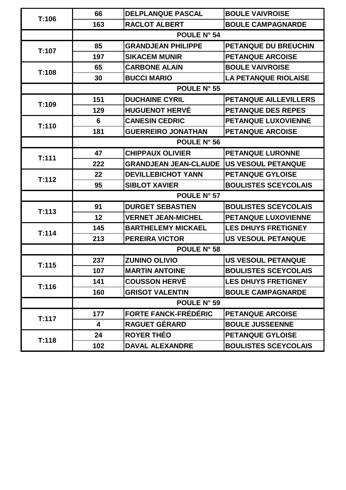| T:106 | 66                      | <b>DELPLANQUE PASCAL</b>       | <b>BOULE VAIVROISE</b>       |
|-------|-------------------------|--------------------------------|------------------------------|
|       | 163                     | <b>RACLOT ALBERT</b>           | <b>BOULE CAMPAGNARDE</b>     |
|       | <b>POULE N° 54</b>      |                                |                              |
| T:107 | 85                      | <b>GRANDJEAN PHILIPPE</b>      | <b>PETANQUE DU BREUCHIN</b>  |
|       | 197                     | <b>SIKACEM MUNIR</b>           | <b>PETANQUE ARCOISE</b>      |
| T:108 | 65                      | <b>CARBONE ALAIN</b>           | <b>BOULE VAIVROISE</b>       |
|       | 30                      | <b>BUCCI MARIO</b>             | <b>LA PETANQUE RIOLAISE</b>  |
|       |                         | POULE N° 55                    |                              |
| T:109 | 151                     | <b>DUCHAINE CYRIL</b>          | <b>PETANQUE AILLEVILLERS</b> |
|       | 129                     | <b>HUGUENOT HERVÉ</b>          | <b>PETANQUE DES REPES</b>    |
| T:110 | 6                       | <b>CANESIN CEDRIC</b>          | PETANQUE LUXOVIENNE          |
|       | 181                     | <b>GUERREIRO JONATHAN</b>      | <b>PETANQUE ARCOISE</b>      |
|       | <b>POULE N° 56</b>      |                                |                              |
| T:111 | 47                      | <b>CHIPPAUX OLIVIER</b>        | <b>PETANQUE LURONNE</b>      |
|       | 222                     | <b>GRANDJEAN JEAN-CLAUDE  </b> | <b>US VESOUL PETANQUE</b>    |
| T:112 | 22                      | <b>DEVILLEBICHOT YANN</b>      | <b>PETANQUE GYLOISE</b>      |
|       | 95                      | <b>SIBLOT XAVIER</b>           | <b>BOULISTES SCEYCOLAIS</b>  |
|       | POULE N° 57             |                                |                              |
| T:113 | 91                      | <b>DURGET SEBASTIEN</b>        | <b>BOULISTES SCEYCOLAIS</b>  |
|       | 12                      | <b>VERNET JEAN-MICHEL</b>      | <b>PETANQUE LUXOVIENNE</b>   |
| T:114 | 145                     | <b>BARTHELEMY MICKAEL</b>      | <b>LES DHUYS FRETIGNEY</b>   |
|       | 213                     | <b>PEREIRA VICTOR</b>          | <b>US VESOUL PETANQUE</b>    |
|       | POULE N° 58             |                                |                              |
| T:115 | 237                     | <b>ZUNINO OLIVIO</b>           | <b>US VESOUL PETANQUE</b>    |
|       | 107                     | <b>MARTIN ANTOINE</b>          | <b>BOULISTES SCEYCOLAIS</b>  |
| T:116 | 141                     | <b>COUSSON HERVÉ</b>           | <b>LES DHUYS FRETIGNEY</b>   |
|       | 160                     | <b>GRISOT VALENTIN</b>         | <b>BOULE CAMPAGNARDE</b>     |
|       | POULE N° 59             |                                |                              |
| T:117 | 177                     | <b>FORTE FANCK-FRÉDÉRIC</b>    | <b>PETANQUE ARCOISE</b>      |
|       | $\overline{\mathbf{4}}$ | <b>RAGUET GÉRARD</b>           | <b>BOULE JUSSEENNE</b>       |
|       | 24                      | <b>ROYER THÉO</b>              | <b>PETANQUE GYLOISE</b>      |
| T:118 | 102                     | <b>DAVAL ALEXANDRE</b>         | <b>BOULISTES SCEYCOLAIS</b>  |